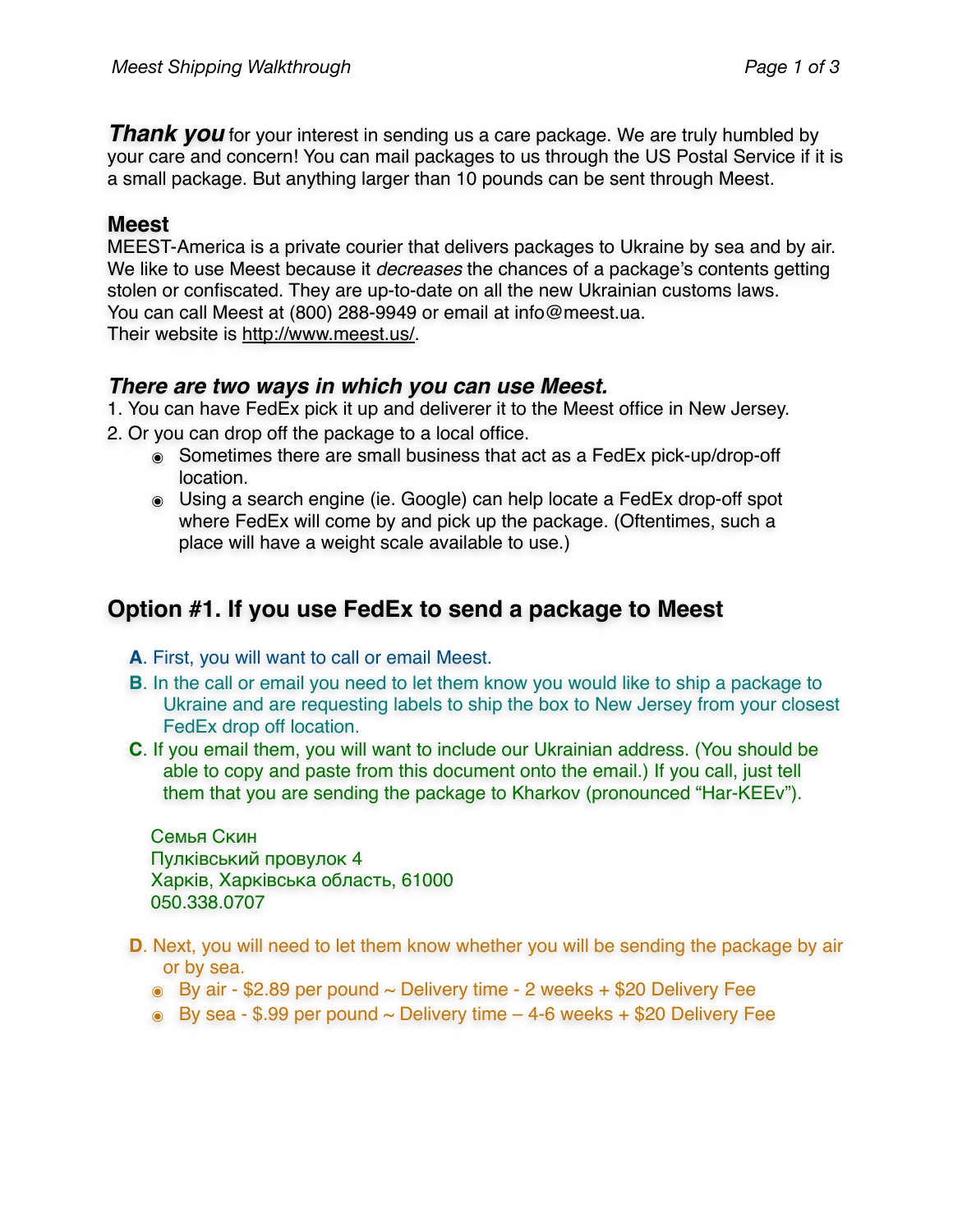**Thank you** for your interest in sending us a care package. We are truly humbled by your care and concern! You can mail packages to us through the US Postal Service if it is a small package. But anything larger than 10 pounds can be sent through Meest.

## **Meest**

MEEST-America is a private courier that delivers packages to Ukraine by sea and by air. We like to use Meest because it *decreases* the chances of a package's contents getting stolen or confiscated. They are up-to-date on all the new Ukrainian customs laws. You can call Meest at (800) 288-9949 or email at info@meest.ua. Their website is <http://www.meest.us/>.

## *There are two ways in which you can use Meest.*

1. You can have FedEx pick it up and deliverer it to the Meest office in New Jersey.

- 2. Or you can drop off the package to a local office.
	- ๏ Sometimes there are small business that act as a FedEx pick-up/drop-off location.
	- ๏ Using a search engine (ie. Google) can help locate a FedEx drop-off spot where FedEx will come by and pick up the package. (Oftentimes, such a place will have a weight scale available to use.)

## **Option #1. If you use FedEx to send a package to Meest**

- **A**. First, you will want to call or email Meest.
- **B**. In the call or email you need to let them know you would like to ship a package to Ukraine and are requesting labels to ship the box to New Jersey from your closest FedEx drop off location.
- **C**. If you email them, you will want to include our Ukrainian address. (You should be able to copy and paste from this document onto the email.) If you call, just tell them that you are sending the package to Kharkov (pronounced "Har-KEEv").

Семья Скин Пулківський провулок 4 Харків, Харківська область, 61000 050.338.0707

- **D**. Next, you will need to let them know whether you will be sending the package by air or by sea.
	- $\bullet$  By air \$2.89 per pound  $\sim$  Delivery time 2 weeks + \$20 Delivery Fee
	- $\odot$  By sea \$.99 per pound  $\sim$  Delivery time 4-6 weeks + \$20 Delivery Fee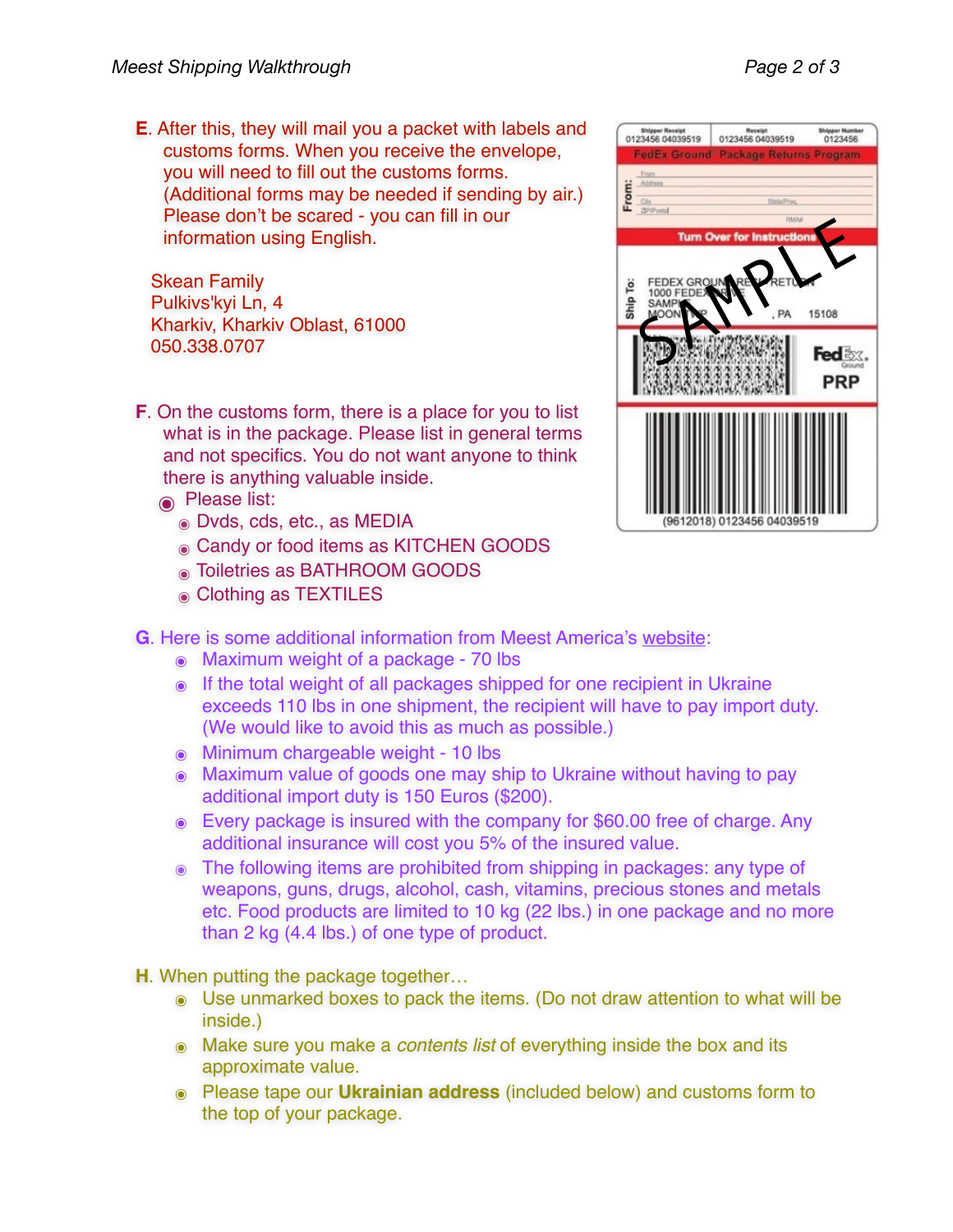**E**. After this, they will mail you a packet with labels and customs forms. When you receive the envelope, you will need to fill out the customs forms. (Additional forms may be needed if sending by air.) Please don't be scared - you can fill in our information using English.

Skean Family Pulkivs'kyi Ln, 4 Kharkiv, Kharkiv Oblast, 61000 050.338.0707

- **F**. On the customs form, there is a place for you to list what is in the package. Please list in general terms and not specifics. You do not want anyone to think there is anything valuable inside.
	- ๏ Please list:
		- ๏ Dvds, cds, etc., as MEDIA
		- ๏ Candy or food items as KITCHEN GOODS
		- ๏ Toiletries as BATHROOM GOODS
		- ๏ Clothing as TEXTILES
- **G**. Here is some additional information from Meest America's [website:](http://meest.us/poslugi/dostavka_posilok/ukraina.html)
	- ๏ Maximum weight of a package 70 lbs
	- ๏ If the total weight of all packages shipped for one recipient in Ukraine exceeds 110 lbs in one shipment, the recipient will have to pay import duty. (We would like to avoid this as much as possible.)
	- ๏ Minimum chargeable weight 10 lbs
	- ๏ Maximum value of goods one may ship to Ukraine without having to pay additional import duty is 150 Euros (\$200).
	- ๏ Every package is insured with the company for \$60.00 free of charge. Any additional insurance will cost you 5% of the insured value.
	- ๏ The following items are prohibited from shipping in packages: any type of weapons, guns, drugs, alcohol, cash, vitamins, precious stones and metals etc. Food products are limited to 10 kg (22 lbs.) in one package and no more than 2 kg (4.4 lbs.) of one type of product.

**H**. When putting the package together…

- ๏ Use unmarked boxes to pack the items. (Do not draw attention to what will be inside.)
- ๏ Make sure you make a *contents list* of everything inside the box and its approximate value.
- ๏ Please tape our **Ukrainian address** (included below) and customs form to the top of your package.